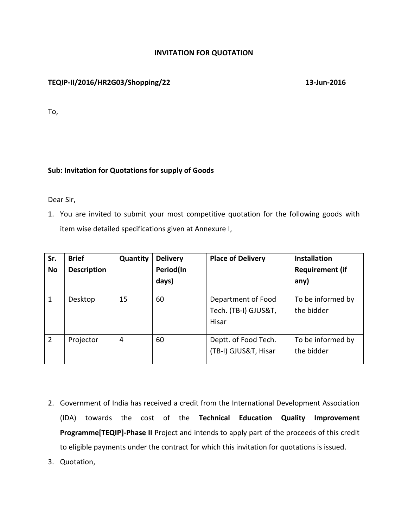## **INVITATION FOR QUOTATION**

# **TEQIP-II/2016/HR2G03/Shopping/22 13-Jun-2016**

To,

## **Sub: Invitation for Quotations for supply of Goods**

Dear Sir,

1. You are invited to submit your most competitive quotation for the following goods with item wise detailed specifications given at Annexure I,

| Sr.<br><b>No</b> | <b>Brief</b><br><b>Description</b> | Quantity | <b>Delivery</b><br>Period(In<br>days) | <b>Place of Delivery</b>                            | <b>Installation</b><br><b>Requirement (if</b><br>any) |
|------------------|------------------------------------|----------|---------------------------------------|-----------------------------------------------------|-------------------------------------------------------|
| $\mathbf{1}$     | Desktop                            | 15       | 60                                    | Department of Food<br>Tech. (TB-I) GJUS&T,<br>Hisar | To be informed by<br>the bidder                       |
| $\overline{2}$   | Projector                          | 4        | 60                                    | Deptt. of Food Tech.<br>(TB-I) GJUS&T, Hisar        | To be informed by<br>the bidder                       |

- 2. Government of India has received a credit from the International Development Association (IDA) towards the cost of the **Technical Education Quality Improvement Programme[TEQIP]-Phase II** Project and intends to apply part of the proceeds of this credit to eligible payments under the contract for which this invitation for quotations is issued.
- 3. Quotation,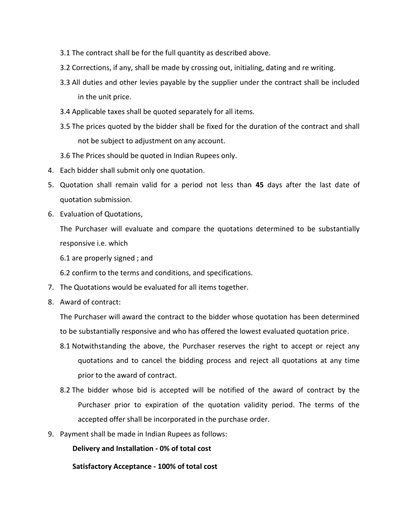- 3.1 The contract shall be for the full quantity as described above.
- 3.2 Corrections, if any, shall be made by crossing out, initialing, dating and re writing.
- 3.3 All duties and other levies payable by the supplier under the contract shall be included in the unit price.
- 3.4 Applicable taxes shall be quoted separately for all items.
- 3.5 The prices quoted by the bidder shall be fixed for the duration of the contract and shall not be subject to adjustment on any account.
- 3.6 The Prices should be quoted in Indian Rupees only.
- 4. Each bidder shall submit only one quotation.
- 5. Quotation shall remain valid for a period not less than **45** days after the last date of quotation submission.
- 6. Evaluation of Quotations,

The Purchaser will evaluate and compare the quotations determined to be substantially responsive i.e. which

6.1 are properly signed ; and

6.2 confirm to the terms and conditions, and specifications.

- 7. The Quotations would be evaluated for all items together.
- 8. Award of contract:

The Purchaser will award the contract to the bidder whose quotation has been determined to be substantially responsive and who has offered the lowest evaluated quotation price.

- 8.1 Notwithstanding the above, the Purchaser reserves the right to accept or reject any quotations and to cancel the bidding process and reject all quotations at any time prior to the award of contract.
- 8.2 The bidder whose bid is accepted will be notified of the award of contract by the Purchaser prior to expiration of the quotation validity period. The terms of the accepted offer shall be incorporated in the purchase order.
- 9. Payment shall be made in Indian Rupees as follows:

**Delivery and Installation - 0% of total cost**

**Satisfactory Acceptance - 100% of total cost**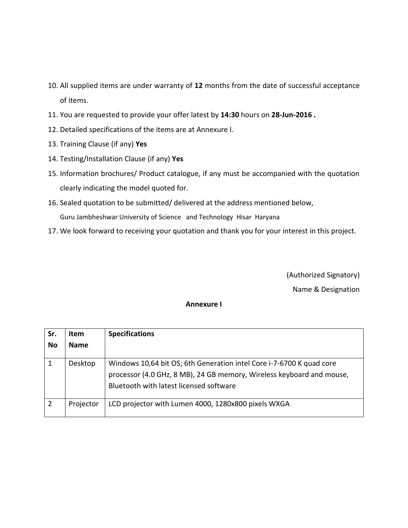- 10. All supplied items are under warranty of **12** months from the date of successful acceptance of items.
- 11. You are requested to provide your offer latest by **14:30** hours on **28-Jun-2016 .**
- 12. Detailed specifications of the items are at Annexure I.
- 13. Training Clause (if any) **Yes**
- 14. Testing/Installation Clause (if any) **Yes**
- 15. Information brochures/ Product catalogue, if any must be accompanied with the quotation clearly indicating the model quoted for.
- 16. Sealed quotation to be submitted/ delivered at the address mentioned below, Guru Jambheshwar University of Science and Technology Hisar Haryana
- 17. We look forward to receiving your quotation and thank you for your interest in this project.

(Authorized Signatory) Name & Designation

#### **Annexure I**

| Sr.<br><b>No</b> | <b>Item</b><br><b>Name</b> | <b>Specifications</b>                                                                                                                                                                    |
|------------------|----------------------------|------------------------------------------------------------------------------------------------------------------------------------------------------------------------------------------|
|                  | Desktop                    | Windows 10,64 bit OS; 6th Generation intel Core i-7-6700 K quad core<br>processor (4.0 GHz, 8 MB), 24 GB memory, Wireless keyboard and mouse,<br>Bluetooth with latest licensed software |
| $\overline{2}$   | Projector                  | LCD projector with Lumen 4000, 1280x800 pixels WXGA                                                                                                                                      |